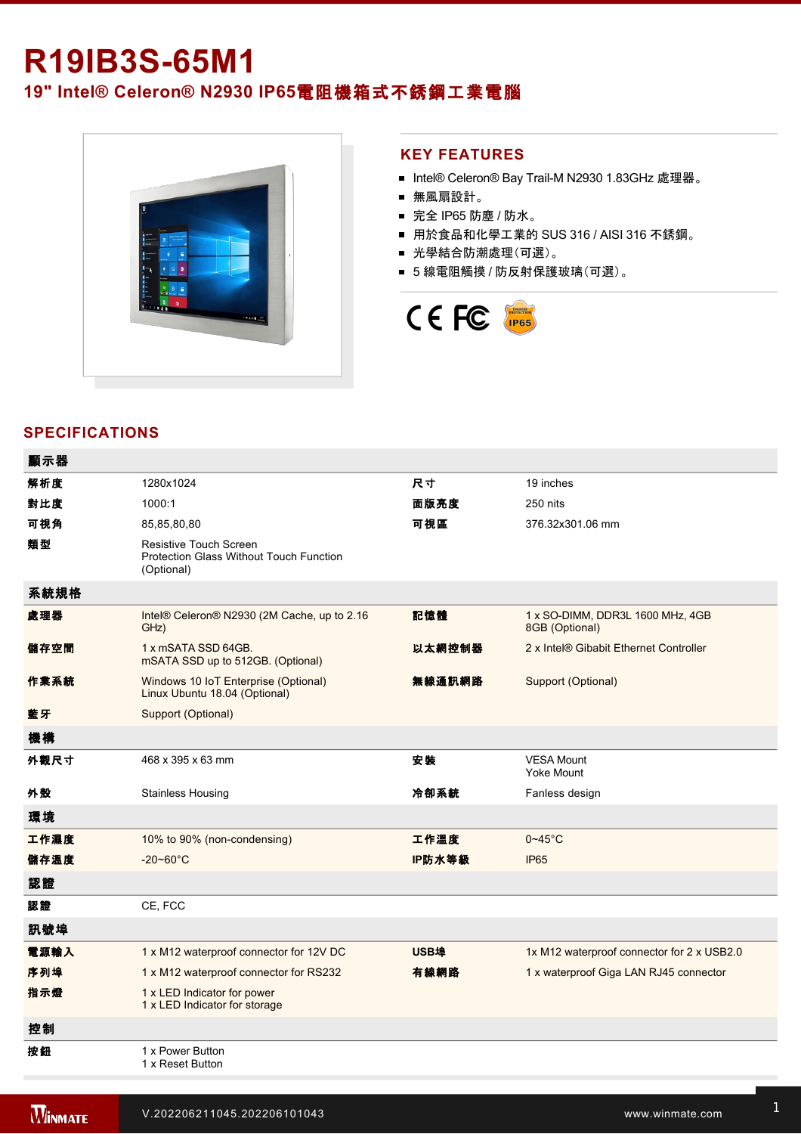# **R19IB3S-65M1**

**19" Intel® Celeron® N2930 IP65**電阻機箱式不銹鋼工業電腦



#### **KEY FEATURES**

- Intel® Celeron® Bay Trail-M N2930 1.83GHz 處理器。
- 無風扇設計。
- 完全 IP65 防塵 / 防水。
- 用於食品和化學工業的 SUS 316 / AISI 316 不銹鋼。
- 光學結合防潮處理(可選)。
- 5 線電阻觸摸 / 防反射保護玻璃(可選)。



## **SPECIFICATIONS**

| 顯示器  |                                                                                 |             |                                                    |
|------|---------------------------------------------------------------------------------|-------------|----------------------------------------------------|
| 解析度  | 1280x1024                                                                       | 尺寸          | 19 inches                                          |
| 對比度  | 1000:1                                                                          | 面版亮度        | 250 nits                                           |
| 可視角  | 85,85,80,80                                                                     | 可視區         | 376.32x301.06 mm                                   |
| 類型   | Resistive Touch Screen<br>Protection Glass Without Touch Function<br>(Optional) |             |                                                    |
| 系統規格 |                                                                                 |             |                                                    |
| 處理器  | Intel® Celeron® N2930 (2M Cache, up to 2.16<br>GHz)                             | 記憶體         | 1 x SO-DIMM, DDR3L 1600 MHz, 4GB<br>8GB (Optional) |
| 儲存空間 | 1 x mSATA SSD 64GB.<br>mSATA SSD up to 512GB. (Optional)                        | 以太網控制器      | 2 x Intel® Gibabit Ethernet Controller             |
| 作業系統 | Windows 10 IoT Enterprise (Optional)<br>Linux Ubuntu 18.04 (Optional)           | 無線通訊網路      | Support (Optional)                                 |
| 藍牙   | Support (Optional)                                                              |             |                                                    |
| 機構   |                                                                                 |             |                                                    |
| 外觀尺寸 | 468 x 395 x 63 mm                                                               | 安装          | <b>VESA Mount</b><br><b>Yoke Mount</b>             |
| 外殼   | <b>Stainless Housing</b>                                                        | 冷卻系統        | Fanless design                                     |
| 環境   |                                                                                 |             |                                                    |
| 工作濕度 | 10% to 90% (non-condensing)                                                     | 工作溫度        | $0 - 45$ °C                                        |
| 儲存溫度 | $-20 - 60^{\circ}$ C                                                            | IP防水等級      | <b>IP65</b>                                        |
| 認證   |                                                                                 |             |                                                    |
| 認證   | CE, FCC                                                                         |             |                                                    |
| 訊號埠  |                                                                                 |             |                                                    |
| 電源輸入 | 1 x M12 waterproof connector for 12V DC                                         | <b>USB埠</b> | 1x M12 waterproof connector for 2 x USB2.0         |
| 序列埠  | 1 x M12 waterproof connector for RS232                                          | 有線網路        | 1 x waterproof Giga LAN RJ45 connector             |
| 指示燈  | 1 x LED Indicator for power<br>1 x LED Indicator for storage                    |             |                                                    |
| 控制   |                                                                                 |             |                                                    |
| 按鈕   | 1 x Power Button<br>1 x Reset Button                                            |             |                                                    |

Power Cord